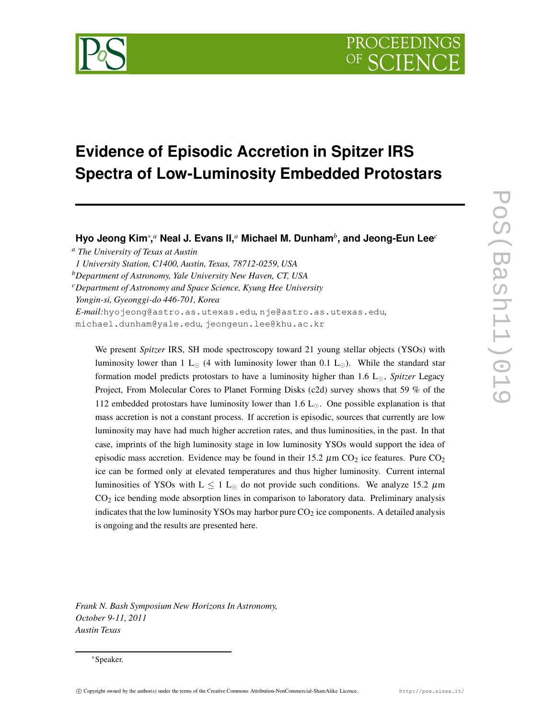

# **Evidence of Episodic Accretion in Spitzer IRS Spectra of Low-Luminosity Embedded Protostars**

**Hyo Jeong Kim**<sup>∗</sup> **,** *<sup>a</sup>* **Neal J. Evans II,***<sup>a</sup>* **Michael M. Dunham***<sup>b</sup>* **, and Jeong-Eun Lee***<sup>c</sup>*

*<sup>a</sup> The University of Texas at Austin*

*1 University Station, C1400, Austin, Texas, 78712-0259, USA*

*<sup>b</sup>Department of Astronomy, Yale University New Haven, CT, USA*

*<sup>c</sup>Department of Astronomy and Space Science, Kyung Hee University*

*Yongin-si, Gyeonggi-do 446-701, Korea*

*E-mail:*hyojeong@astro.as.utexas.edu*,* nje@astro.as.utexas.edu*,*

michael.dunham@yale.edu*,* jeongeun.lee@khu.ac.kr

We present *Spitzer* IRS, SH mode spectroscopy toward 21 young stellar objects (YSOs) with luminosity lower than 1 L<sub> $\odot$ </sub> (4 with luminosity lower than 0.1 L<sub> $\odot$ </sub>). While the standard star formation model predicts protostars to have a luminosity higher than 1.6  $L_{\odot}$ , *Spitzer* Legacy Project, From Molecular Cores to Planet Forming Disks (c2d) survey shows that 59 % of the 112 embedded protostars have luminosity lower than  $1.6 \text{ L}_{\odot}$ . One possible explanation is that mass accretion is not a constant process. If accretion is episodic, sources that currently are low luminosity may have had much higher accretion rates, and thus luminosities, in the past. In that case, imprints of the high luminosity stage in low luminosity YSOs would support the idea of episodic mass accretion. Evidence may be found in their 15.2  $\mu$ m CO<sub>2</sub> ice features. Pure CO<sub>2</sub> ice can be formed only at elevated temperatures and thus higher luminosity. Current internal luminosities of YSOs with  $L \le 1$  L<sub>o</sub> do not provide such conditions. We analyze 15.2  $\mu$ m CO<sup>2</sup> ice bending mode absorption lines in comparison to laboratory data. Preliminary analysis indicates that the low luminosity YSOs may harbor pure  $CO<sub>2</sub>$  ice components. A detailed analysis is ongoing and the results are presented here.

*Frank N. Bash Symposium New Horizons In Astronomy, October 9-11, 2011 Austin Texas*

c Copyright owned by the author(s) under the terms of the Creative Commons Attribution-NonCommercial-ShareAlike Licence. http://pos.sissa.it/

<sup>∗</sup>Speaker.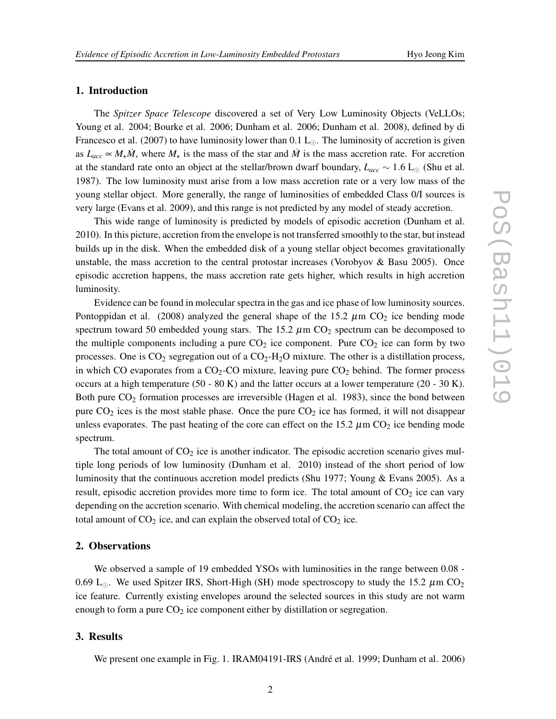# **1. Introduction**

The *Spitzer Space Telescope* discovered a set of Very Low Luminosity Objects (VeLLOs; Young et al. 2004; Bourke et al. 2006; Dunham et al. 2006; Dunham et al. 2008), defined by di Francesco et al. (2007) to have luminosity lower than 0.1  $L_{\odot}$ . The luminosity of accretion is given as  $L_{acc} \propto M_{\star} \dot{M}$ , where  $M_{\star}$  is the mass of the star and  $\dot{M}$  is the mass accretion rate. For accretion at the standard rate onto an object at the stellar/brown dwarf boundary,  $L_{acc} \sim 1.6 \text{ L}_{\odot}$  (Shu et al. 1987). The low luminosity must arise from a low mass accretion rate or a very low mass of the young stellar object. More generally, the range of luminosities of embedded Class 0/I sources is very large (Evans et al. 2009), and this range is not predicted by any model of steady accretion.

This wide range of luminosity is predicted by models of episodic accretion (Dunham et al. 2010). In this picture, accretion from the envelope is not transferred smoothly to the star, but instead builds up in the disk. When the embedded disk of a young stellar object becomes gravitationally unstable, the mass accretion to the central protostar increases (Vorobyov & Basu 2005). Once episodic accretion happens, the mass accretion rate gets higher, which results in high accretion luminosity.

Evidence can be found in molecular spectra in the gas and ice phase of low luminosity sources. Pontoppidan et al. (2008) analyzed the general shape of the 15.2  $\mu$ m CO<sub>2</sub> ice bending mode spectrum toward 50 embedded young stars. The 15.2  $\mu$ m CO<sub>2</sub> spectrum can be decomposed to the multiple components including a pure  $CO<sub>2</sub>$  ice component. Pure  $CO<sub>2</sub>$  ice can form by two processes. One is  $CO_2$  segregation out of a  $CO_2$ -H<sub>2</sub>O mixture. The other is a distillation process, in which CO evaporates from a  $CO<sub>2</sub>$ -CO mixture, leaving pure  $CO<sub>2</sub>$  behind. The former process occurs at a high temperature  $(50 - 80 \text{ K})$  and the latter occurs at a lower temperature  $(20 - 30 \text{ K})$ . Both pure  $CO<sub>2</sub>$  formation processes are irreversible (Hagen et al. 1983), since the bond between pure  $CO<sub>2</sub>$  ices is the most stable phase. Once the pure  $CO<sub>2</sub>$  ice has formed, it will not disappear unless evaporates. The past heating of the core can effect on the 15.2  $\mu$ m CO<sub>2</sub> ice bending mode spectrum.

The total amount of  $CO<sub>2</sub>$  ice is another indicator. The episodic accretion scenario gives multiple long periods of low luminosity (Dunham et al. 2010) instead of the short period of low luminosity that the continuous accretion model predicts (Shu 1977; Young & Evans 2005). As a result, episodic accretion provides more time to form ice. The total amount of  $CO<sub>2</sub>$  ice can vary depending on the accretion scenario. With chemical modeling, the accretion scenario can affect the total amount of  $CO<sub>2</sub>$  ice, and can explain the observed total of  $CO<sub>2</sub>$  ice.

### **2. Observations**

We observed a sample of 19 embedded YSOs with luminosities in the range between 0.08 - 0.69 L<sub>o</sub>. We used Spitzer IRS, Short-High (SH) mode spectroscopy to study the 15.2  $\mu$ m CO<sub>2</sub> ice feature. Currently existing envelopes around the selected sources in this study are not warm enough to form a pure  $CO<sub>2</sub>$  ice component either by distillation or segregation.

# **3. Results**

We present one example in Fig. 1. IRAM04191-IRS (André et al. 1999; Dunham et al. 2006)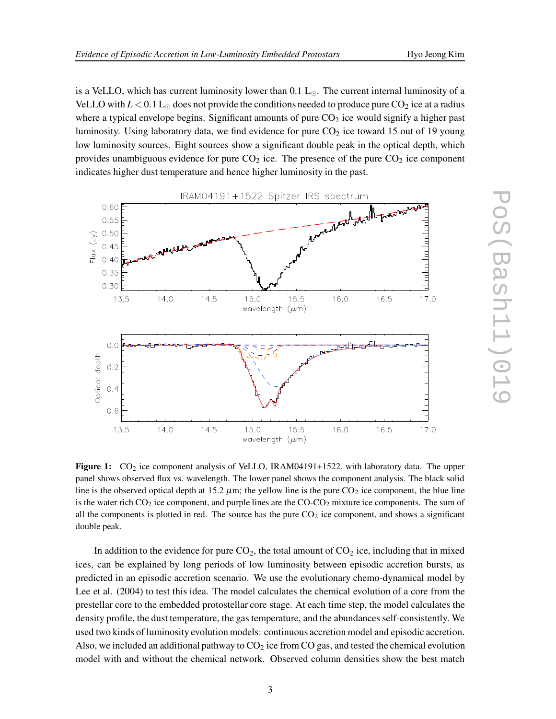is a VeLLO, which has current luminosity lower than  $0.1 L_{\odot}$ . The current internal luminosity of a VeLLO with  $L < 0.1$  L<sub>o</sub> does not provide the conditions needed to produce pure CO<sub>2</sub> ice at a radius where a typical envelope begins. Significant amounts of pure  $CO<sub>2</sub>$  ice would signify a higher past luminosity. Using laboratory data, we find evidence for pure  $CO<sub>2</sub>$  ice toward 15 out of 19 young low luminosity sources. Eight sources show a significant double peak in the optical depth, which provides unambiguous evidence for pure  $CO<sub>2</sub>$  ice. The presence of the pure  $CO<sub>2</sub>$  ice component indicates higher dust temperature and hence higher luminosity in the past.



**Figure 1:** CO<sub>2</sub> ice component analysis of VeLLO, IRAM04191+1522, with laboratory data. The upper panel shows observed flux vs. wavelength. The lower panel shows the component analysis. The black solid line is the observed optical depth at 15.2  $\mu$ m; the yellow line is the pure CO<sub>2</sub> ice component, the blue line is the water rich  $CO_2$  ice component, and purple lines are the  $COCO_2$  mixture ice components. The sum of all the components is plotted in red. The source has the pure  $CO<sub>2</sub>$  ice component, and shows a significant double peak.

In addition to the evidence for pure  $CO<sub>2</sub>$ , the total amount of  $CO<sub>2</sub>$  ice, including that in mixed ices, can be explained by long periods of low luminosity between episodic accretion bursts, as predicted in an episodic accretion scenario. We use the evolutionary chemo-dynamical model by Lee et al. (2004) to test this idea. The model calculates the chemical evolution of a core from the prestellar core to the embedded protostellar core stage. At each time step, the model calculates the density profile, the dust temperature, the gas temperature, and the abundances self-consistently. We used two kinds of luminosity evolutionmodels: continuous accretion model and episodic accretion. Also, we included an additional pathway to  $CO<sub>2</sub>$  ice from CO gas, and tested the chemical evolution model with and without the chemical network. Observed column densities show the best match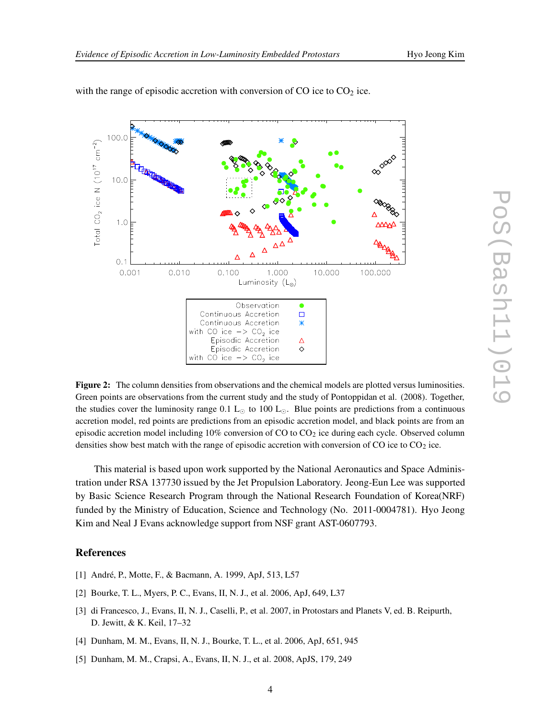

with the range of episodic accretion with conversion of CO ice to  $CO<sub>2</sub>$  ice.

**Figure 2:** The column densities from observations and the chemical models are plotted versus luminosities. Green points are observations from the current study and the study of Pontoppidan et al. (2008). Together, the studies cover the luminosity range 0.1  $L_{\odot}$  to 100  $L_{\odot}$ . Blue points are predictions from a continuous accretion model, red points are predictions from an episodic accretion model, and black points are from an episodic accretion model including  $10\%$  conversion of CO to CO<sub>2</sub> ice during each cycle. Observed column densities show best match with the range of episodic accretion with conversion of CO ice to  $CO<sub>2</sub>$  ice.

This material is based upon work supported by the National Aeronautics and Space Administration under RSA 137730 issued by the Jet Propulsion Laboratory. Jeong-Eun Lee was supported by Basic Science Research Program through the National Research Foundation of Korea(NRF) funded by the Ministry of Education, Science and Technology (No. 2011-0004781). Hyo Jeong Kim and Neal J Evans acknowledge support from NSF grant AST-0607793.

## **References**

- [1] André, P., Motte, F., & Bacmann, A. 1999, ApJ, 513, L57
- [2] Bourke, T. L., Myers, P. C., Evans, II, N. J., et al. 2006, ApJ, 649, L37
- [3] di Francesco, J., Evans, II, N. J., Caselli, P., et al. 2007, in Protostars and Planets V, ed. B. Reipurth, D. Jewitt, & K. Keil, 17–32
- [4] Dunham, M. M., Evans, II, N. J., Bourke, T. L., et al. 2006, ApJ, 651, 945
- [5] Dunham, M. M., Crapsi, A., Evans, II, N. J., et al. 2008, ApJS, 179, 249